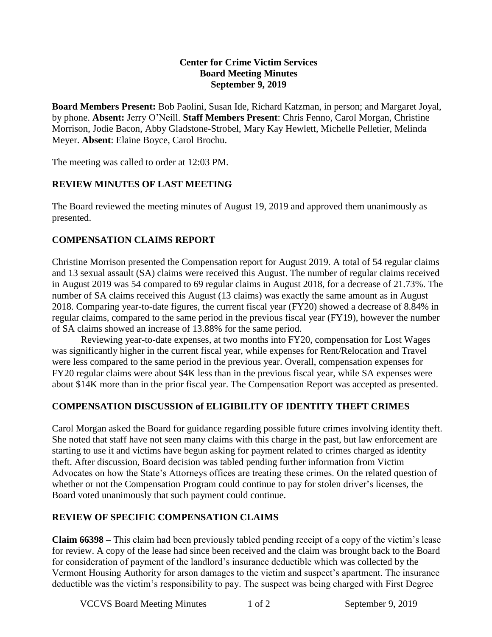#### **Center for Crime Victim Services Board Meeting Minutes September 9, 2019**

**Board Members Present:** Bob Paolini, Susan Ide, Richard Katzman, in person; and Margaret Joyal, by phone. **Absent:** Jerry O'Neill. **Staff Members Present**: Chris Fenno, Carol Morgan, Christine Morrison, Jodie Bacon, Abby Gladstone-Strobel, Mary Kay Hewlett, Michelle Pelletier, Melinda Meyer. **Absent**: Elaine Boyce, Carol Brochu.

The meeting was called to order at 12:03 PM.

## **REVIEW MINUTES OF LAST MEETING**

The Board reviewed the meeting minutes of August 19, 2019 and approved them unanimously as presented.

## **COMPENSATION CLAIMS REPORT**

Christine Morrison presented the Compensation report for August 2019. A total of 54 regular claims and 13 sexual assault (SA) claims were received this August. The number of regular claims received in August 2019 was 54 compared to 69 regular claims in August 2018, for a decrease of 21.73%. The number of SA claims received this August (13 claims) was exactly the same amount as in August 2018. Comparing year-to-date figures, the current fiscal year (FY20) showed a decrease of 8.84% in regular claims, compared to the same period in the previous fiscal year (FY19), however the number of SA claims showed an increase of 13.88% for the same period.

Reviewing year-to-date expenses, at two months into FY20, compensation for Lost Wages was significantly higher in the current fiscal year, while expenses for Rent/Relocation and Travel were less compared to the same period in the previous year. Overall, compensation expenses for FY20 regular claims were about \$4K less than in the previous fiscal year, while SA expenses were about \$14K more than in the prior fiscal year. The Compensation Report was accepted as presented.

## **COMPENSATION DISCUSSION of ELIGIBILITY OF IDENTITY THEFT CRIMES**

Carol Morgan asked the Board for guidance regarding possible future crimes involving identity theft. She noted that staff have not seen many claims with this charge in the past, but law enforcement are starting to use it and victims have begun asking for payment related to crimes charged as identity theft. After discussion, Board decision was tabled pending further information from Victim Advocates on how the State's Attorneys offices are treating these crimes. On the related question of whether or not the Compensation Program could continue to pay for stolen driver's licenses, the Board voted unanimously that such payment could continue.

## **REVIEW OF SPECIFIC COMPENSATION CLAIMS**

**Claim 66398 –** This claim had been previously tabled pending receipt of a copy of the victim's lease for review. A copy of the lease had since been received and the claim was brought back to the Board for consideration of payment of the landlord's insurance deductible which was collected by the Vermont Housing Authority for arson damages to the victim and suspect's apartment. The insurance deductible was the victim's responsibility to pay. The suspect was being charged with First Degree

VCCVS Board Meeting Minutes 1 of 2 September 9, 2019